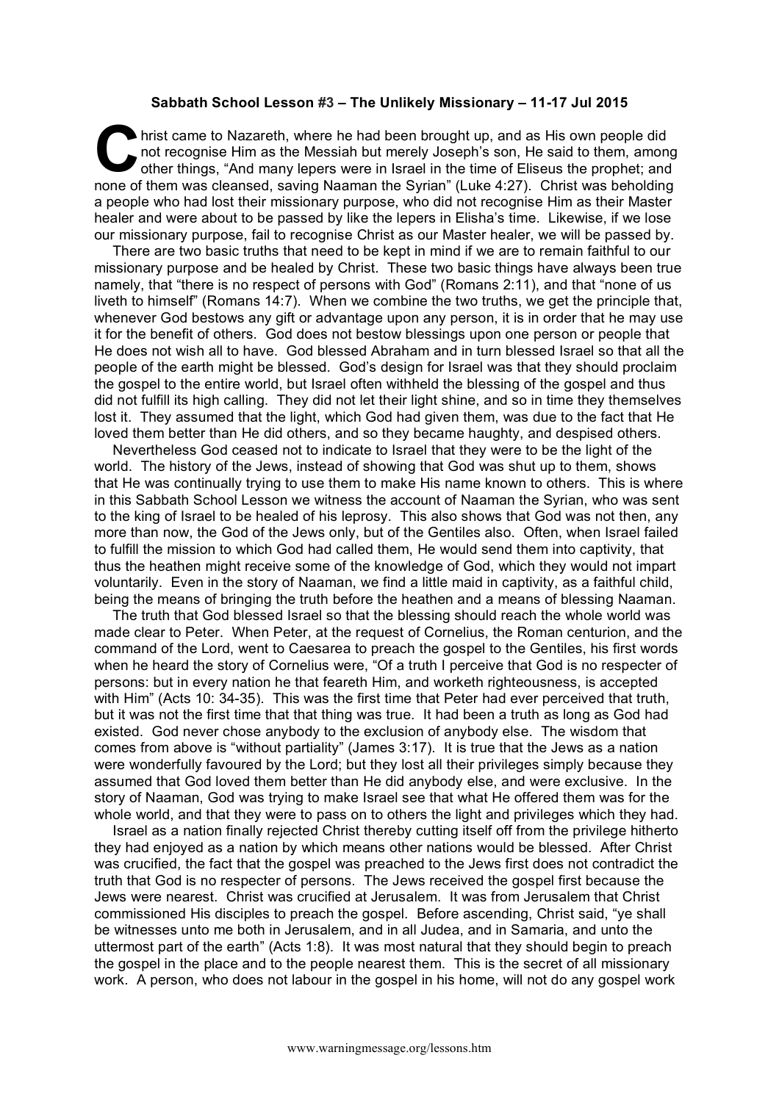## **Sabbath School Lesson #3 – The Unlikely Missionary – 11-17 Jul 2015**

hrist came to Nazareth, where he had been brought up, and as His own people did not recognise Him as the Messiah but merely Joseph's son, He said to them, among other things, "And many lepers were in Israel in the time of Eliseus the prophet; and none of them was cleansed, saving Naaman the Syrian" (Luke 4:27). Christ was beholding a people who had lost their missionary purpose, who did not recognise Him as their Master healer and were about to be passed by like the lepers in Elisha's time. Likewise, if we lose our missionary purpose, fail to recognise Christ as our Master healer, we will be passed by. C hris

There are two basic truths that need to be kept in mind if we are to remain faithful to our missionary purpose and be healed by Christ. These two basic things have always been true namely, that "there is no respect of persons with God" (Romans 2:11), and that "none of us liveth to himself" (Romans 14:7). When we combine the two truths, we get the principle that, whenever God bestows any gift or advantage upon any person, it is in order that he may use it for the benefit of others. God does not bestow blessings upon one person or people that He does not wish all to have. God blessed Abraham and in turn blessed Israel so that all the people of the earth might be blessed. God's design for Israel was that they should proclaim the gospel to the entire world, but Israel often withheld the blessing of the gospel and thus did not fulfill its high calling. They did not let their light shine, and so in time they themselves lost it. They assumed that the light, which God had given them, was due to the fact that He loved them better than He did others, and so they became haughty, and despised others.

Nevertheless God ceased not to indicate to Israel that they were to be the light of the world. The history of the Jews, instead of showing that God was shut up to them, shows that He was continually trying to use them to make His name known to others. This is where in this Sabbath School Lesson we witness the account of Naaman the Syrian, who was sent to the king of Israel to be healed of his leprosy. This also shows that God was not then, any more than now, the God of the Jews only, but of the Gentiles also. Often, when Israel failed to fulfill the mission to which God had called them, He would send them into captivity, that thus the heathen might receive some of the knowledge of God, which they would not impart voluntarily. Even in the story of Naaman, we find a little maid in captivity, as a faithful child, being the means of bringing the truth before the heathen and a means of blessing Naaman.

The truth that God blessed Israel so that the blessing should reach the whole world was made clear to Peter. When Peter, at the request of Cornelius, the Roman centurion, and the command of the Lord, went to Caesarea to preach the gospel to the Gentiles, his first words when he heard the story of Cornelius were, "Of a truth I perceive that God is no respecter of persons: but in every nation he that feareth Him, and worketh righteousness, is accepted with Him" (Acts 10: 34-35). This was the first time that Peter had ever perceived that truth, but it was not the first time that that thing was true. It had been a truth as long as God had existed. God never chose anybody to the exclusion of anybody else. The wisdom that comes from above is "without partiality" (James 3:17). It is true that the Jews as a nation were wonderfully favoured by the Lord; but they lost all their privileges simply because they assumed that God loved them better than He did anybody else, and were exclusive. In the story of Naaman, God was trying to make Israel see that what He offered them was for the whole world, and that they were to pass on to others the light and privileges which they had.

Israel as a nation finally rejected Christ thereby cutting itself off from the privilege hitherto they had enjoyed as a nation by which means other nations would be blessed. After Christ was crucified, the fact that the gospel was preached to the Jews first does not contradict the truth that God is no respecter of persons. The Jews received the gospel first because the Jews were nearest. Christ was crucified at Jerusalem. It was from Jerusalem that Christ commissioned His disciples to preach the gospel. Before ascending, Christ said, "ye shall be witnesses unto me both in Jerusalem, and in all Judea, and in Samaria, and unto the uttermost part of the earth" (Acts 1:8). It was most natural that they should begin to preach the gospel in the place and to the people nearest them. This is the secret of all missionary work. A person, who does not labour in the gospel in his home, will not do any gospel work